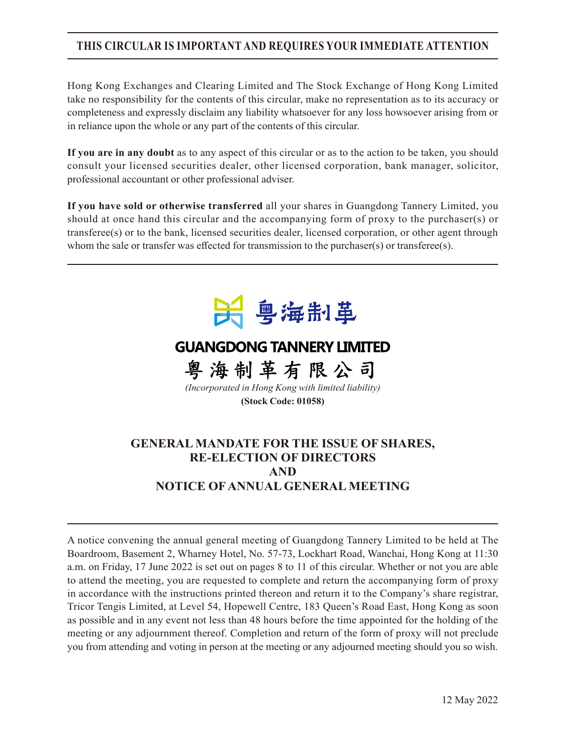# **THIS CIRCULAR IS IMPORTANT AND REQUIRES YOUR IMMEDIATE ATTENTION**

Hong Kong Exchanges and Clearing Limited and The Stock Exchange of Hong Kong Limited take no responsibility for the contents of this circular, make no representation as to its accuracy or completeness and expressly disclaim any liability whatsoever for any loss howsoever arising from or in reliance upon the whole or any part of the contents of this circular.

**If you are in any doubt** as to any aspect of this circular or as to the action to be taken, you should consult your licensed securities dealer, other licensed corporation, bank manager, solicitor, professional accountant or other professional adviser.

**If you have sold or otherwise transferred** all your shares in Guangdong Tannery Limited, you should at once hand this circular and the accompanying form of proxy to the purchaser(s) or transferee(s) or to the bank, licensed securities dealer, licensed corporation, or other agent through whom the sale or transfer was effected for transmission to the purchaser(s) or transferee(s).



# **GUANGDONG TANNERY LIMITED**

粤海制革有限公司 *(Incorporated in Hong Kong with limited liability)* **(Stock Code: 01058)**

## **GENERAL MANDATE FOR THE ISSUE OF SHARES, RE-ELECTION OF DIRECTORS AND NOTICE OF ANNUAL GENERAL MEETING**

A notice convening the annual general meeting of Guangdong Tannery Limited to be held at The Boardroom, Basement 2, Wharney Hotel, No. 57-73, Lockhart Road, Wanchai, Hong Kong at 11:30 a.m. on Friday, 17 June 2022 is set out on pages 8 to 11 of this circular. Whether or not you are able to attend the meeting, you are requested to complete and return the accompanying form of proxy in accordance with the instructions printed thereon and return it to the Company's share registrar, Tricor Tengis Limited, at Level 54, Hopewell Centre, 183 Queen's Road East, Hong Kong as soon as possible and in any event not less than 48 hours before the time appointed for the holding of the meeting or any adjournment thereof. Completion and return of the form of proxy will not preclude you from attending and voting in person at the meeting or any adjourned meeting should you so wish.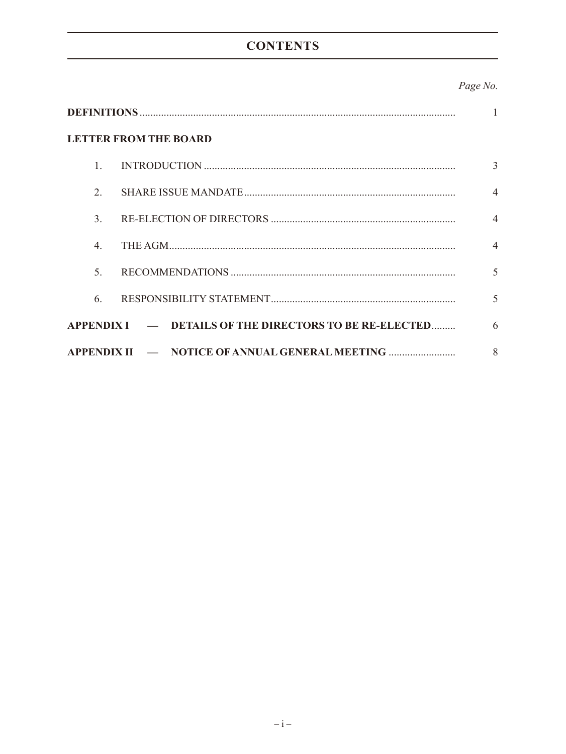# **CONTENTS**

## Page No.

| <b>LETTER FROM THE BOARD</b> |                                                        |                          |  |  |
|------------------------------|--------------------------------------------------------|--------------------------|--|--|
| 1.                           |                                                        | 3                        |  |  |
| $\overline{2}$ .             |                                                        | $\overline{4}$           |  |  |
| $\mathcal{E}$                |                                                        | $\overline{4}$           |  |  |
| $\overline{4}$ .             |                                                        | $\overline{4}$           |  |  |
| $\mathcal{F}$ .              |                                                        | $\overline{\mathcal{L}}$ |  |  |
| 6.                           |                                                        | 5                        |  |  |
|                              | APPENDIX I — DETAILS OF THE DIRECTORS TO BE RE-ELECTED | 6                        |  |  |
| <b>APPENDIX II</b>           |                                                        | 8                        |  |  |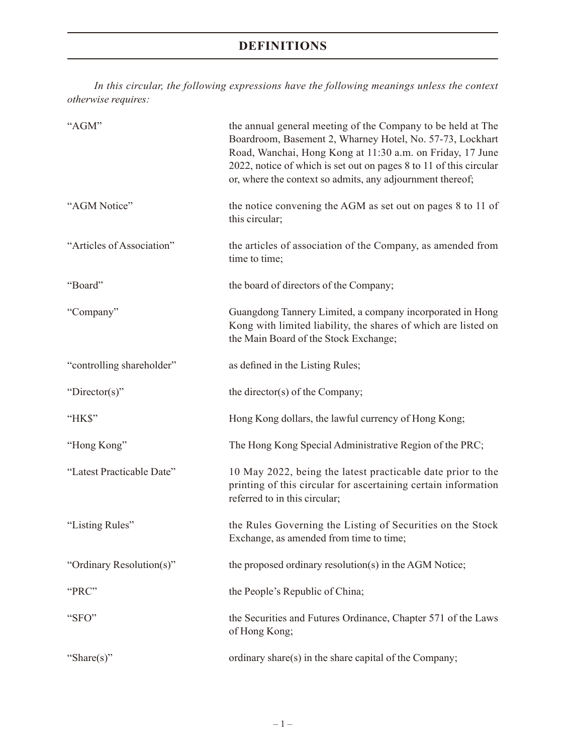# **DEFINITIONS**

*In this circular, the following expressions have the following meanings unless the context otherwise requires:*

| "AGM"                     | the annual general meeting of the Company to be held at The<br>Boardroom, Basement 2, Wharney Hotel, No. 57-73, Lockhart<br>Road, Wanchai, Hong Kong at 11:30 a.m. on Friday, 17 June<br>2022, notice of which is set out on pages 8 to 11 of this circular<br>or, where the context so admits, any adjournment thereof; |
|---------------------------|--------------------------------------------------------------------------------------------------------------------------------------------------------------------------------------------------------------------------------------------------------------------------------------------------------------------------|
| "AGM Notice"              | the notice convening the AGM as set out on pages 8 to 11 of<br>this circular;                                                                                                                                                                                                                                            |
| "Articles of Association" | the articles of association of the Company, as amended from<br>time to time;                                                                                                                                                                                                                                             |
| "Board"                   | the board of directors of the Company;                                                                                                                                                                                                                                                                                   |
| "Company"                 | Guangdong Tannery Limited, a company incorporated in Hong<br>Kong with limited liability, the shares of which are listed on<br>the Main Board of the Stock Exchange;                                                                                                                                                     |
| "controlling shareholder" | as defined in the Listing Rules;                                                                                                                                                                                                                                                                                         |
| "Director(s)"             | the director(s) of the Company;                                                                                                                                                                                                                                                                                          |
| "HK\$"                    | Hong Kong dollars, the lawful currency of Hong Kong;                                                                                                                                                                                                                                                                     |
| "Hong Kong"               | The Hong Kong Special Administrative Region of the PRC;                                                                                                                                                                                                                                                                  |
| "Latest Practicable Date" | 10 May 2022, being the latest practicable date prior to the<br>printing of this circular for ascertaining certain information<br>referred to in this circular;                                                                                                                                                           |
| "Listing Rules"           | the Rules Governing the Listing of Securities on the Stock<br>Exchange, as amended from time to time;                                                                                                                                                                                                                    |
| "Ordinary Resolution(s)"  | the proposed ordinary resolution(s) in the AGM Notice;                                                                                                                                                                                                                                                                   |
| "PRC"                     | the People's Republic of China;                                                                                                                                                                                                                                                                                          |
| "SFO"                     | the Securities and Futures Ordinance, Chapter 571 of the Laws<br>of Hong Kong;                                                                                                                                                                                                                                           |
| "Share(s)"                | ordinary share(s) in the share capital of the Company;                                                                                                                                                                                                                                                                   |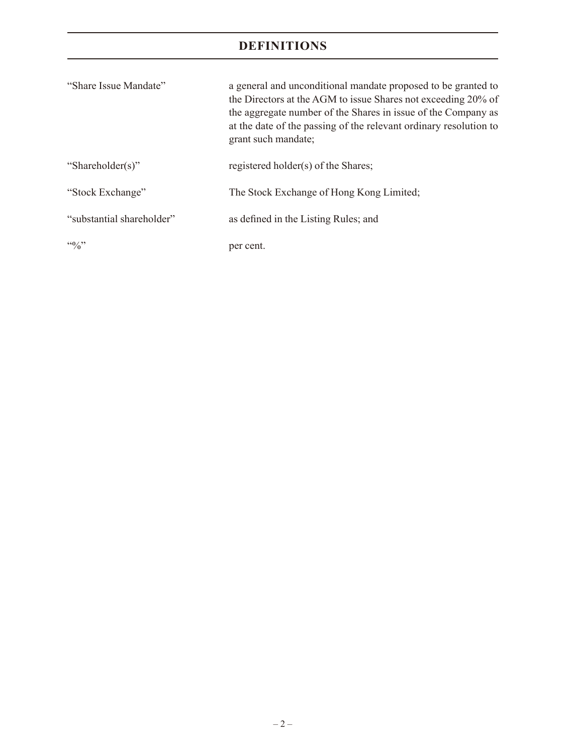# **DEFINITIONS**

| "Share Issue Mandate"     | a general and unconditional mandate proposed to be granted to<br>the Directors at the AGM to issue Shares not exceeding 20% of<br>the aggregate number of the Shares in issue of the Company as<br>at the date of the passing of the relevant ordinary resolution to<br>grant such mandate; |
|---------------------------|---------------------------------------------------------------------------------------------------------------------------------------------------------------------------------------------------------------------------------------------------------------------------------------------|
| "Shareholder(s)"          | registered holder(s) of the Shares;                                                                                                                                                                                                                                                         |
| "Stock Exchange"          | The Stock Exchange of Hong Kong Limited;                                                                                                                                                                                                                                                    |
| "substantial shareholder" | as defined in the Listing Rules; and                                                                                                                                                                                                                                                        |
| $\frac{100}{20}$          | per cent.                                                                                                                                                                                                                                                                                   |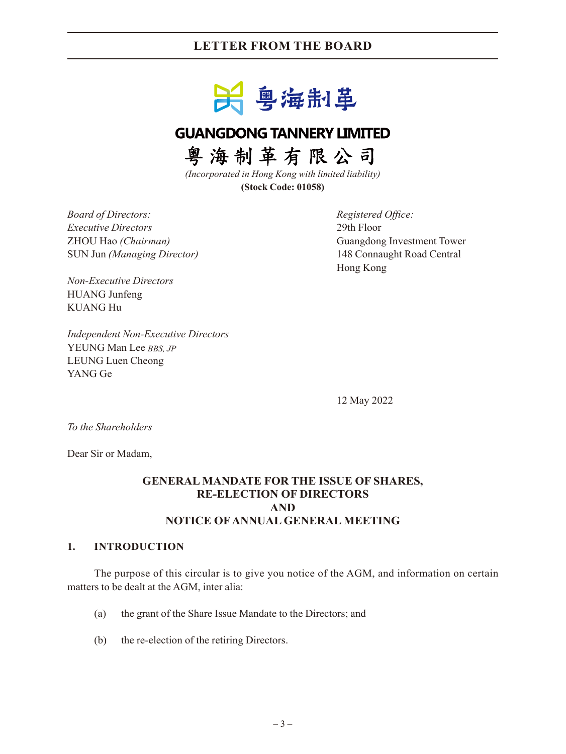# **LETTER FROM THE BOARD**



# **GUANGDONG TANNERY LIMITED**

粤海制革有限公司

*(Incorporated in Hong Kong with limited liability)* **(Stock Code: 01058)**

*Board of Directors: Registered Office: Executive Directors* 29th Floor SUN Jun *(Managing Director)* 148 Connaught Road Central

ZHOU Hao *(Chairman)* Guangdong Investment Tower Hong Kong

*Non-Executive Directors* HUANG Junfeng KUANG Hu

*Independent Non-Executive Directors* YEUNG Man Lee *BBS, JP* LEUNG Luen Cheong YANG Ge

12 May 2022

*To the Shareholders*

Dear Sir or Madam,

### **GENERAL MANDATE FOR THE ISSUE OF SHARES, RE-ELECTION OF DIRECTORS AND NOTICE OF ANNUAL GENERAL MEETING**

#### **1. INTRODUCTION**

The purpose of this circular is to give you notice of the AGM, and information on certain matters to be dealt at the AGM, inter alia:

- (a) the grant of the Share Issue Mandate to the Directors; and
- (b) the re-election of the retiring Directors.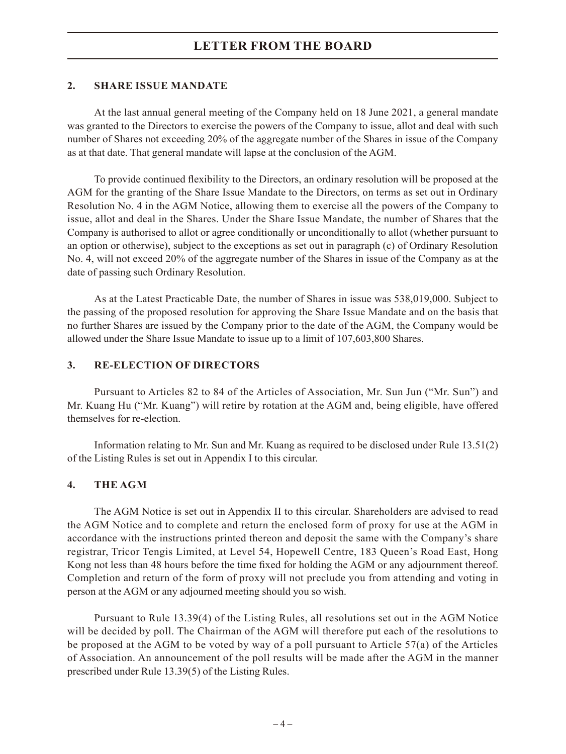# **LETTER FROM THE BOARD**

#### **2. SHARE ISSUE MANDATE**

At the last annual general meeting of the Company held on 18 June 2021, a general mandate was granted to the Directors to exercise the powers of the Company to issue, allot and deal with such number of Shares not exceeding 20% of the aggregate number of the Shares in issue of the Company as at that date. That general mandate will lapse at the conclusion of the AGM.

To provide continued flexibility to the Directors, an ordinary resolution will be proposed at the AGM for the granting of the Share Issue Mandate to the Directors, on terms as set out in Ordinary Resolution No. 4 in the AGM Notice, allowing them to exercise all the powers of the Company to issue, allot and deal in the Shares. Under the Share Issue Mandate, the number of Shares that the Company is authorised to allot or agree conditionally or unconditionally to allot (whether pursuant to an option or otherwise), subject to the exceptions as set out in paragraph (c) of Ordinary Resolution No. 4, will not exceed 20% of the aggregate number of the Shares in issue of the Company as at the date of passing such Ordinary Resolution.

As at the Latest Practicable Date, the number of Shares in issue was 538,019,000. Subject to the passing of the proposed resolution for approving the Share Issue Mandate and on the basis that no further Shares are issued by the Company prior to the date of the AGM, the Company would be allowed under the Share Issue Mandate to issue up to a limit of 107,603,800 Shares.

#### **3. RE-ELECTION OF DIRECTORS**

Pursuant to Articles 82 to 84 of the Articles of Association, Mr. Sun Jun ("Mr. Sun") and Mr. Kuang Hu ("Mr. Kuang") will retire by rotation at the AGM and, being eligible, have offered themselves for re-election.

Information relating to Mr. Sun and Mr. Kuang as required to be disclosed under Rule 13.51(2) of the Listing Rules is set out in Appendix I to this circular.

### **4. THE AGM**

The AGM Notice is set out in Appendix II to this circular. Shareholders are advised to read the AGM Notice and to complete and return the enclosed form of proxy for use at the AGM in accordance with the instructions printed thereon and deposit the same with the Company's share registrar, Tricor Tengis Limited, at Level 54, Hopewell Centre, 183 Queen's Road East, Hong Kong not less than 48 hours before the time fixed for holding the AGM or any adjournment thereof. Completion and return of the form of proxy will not preclude you from attending and voting in person at the AGM or any adjourned meeting should you so wish.

Pursuant to Rule 13.39(4) of the Listing Rules, all resolutions set out in the AGM Notice will be decided by poll. The Chairman of the AGM will therefore put each of the resolutions to be proposed at the AGM to be voted by way of a poll pursuant to Article 57(a) of the Articles of Association. An announcement of the poll results will be made after the AGM in the manner prescribed under Rule 13.39(5) of the Listing Rules.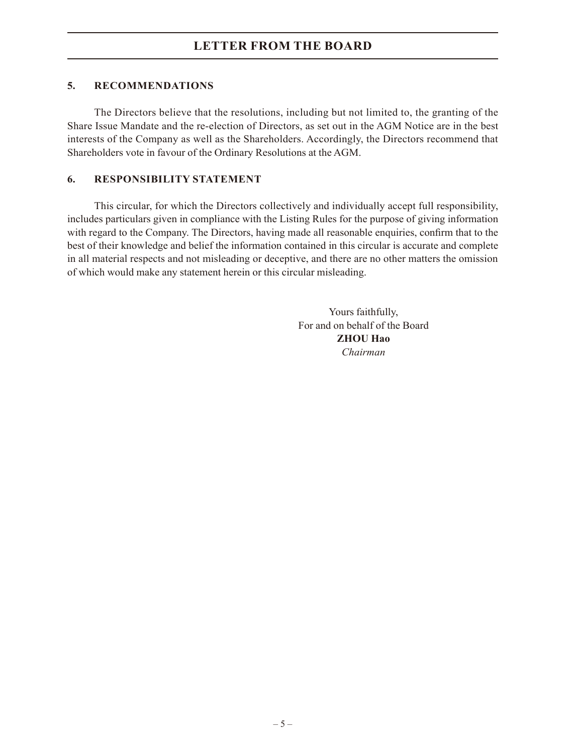## **5. RECOMMENDATIONS**

The Directors believe that the resolutions, including but not limited to, the granting of the Share Issue Mandate and the re-election of Directors, as set out in the AGM Notice are in the best interests of the Company as well as the Shareholders. Accordingly, the Directors recommend that Shareholders vote in favour of the Ordinary Resolutions at the AGM.

### **6. RESPONSIBILITY STATEMENT**

This circular, for which the Directors collectively and individually accept full responsibility, includes particulars given in compliance with the Listing Rules for the purpose of giving information with regard to the Company. The Directors, having made all reasonable enquiries, confirm that to the best of their knowledge and belief the information contained in this circular is accurate and complete in all material respects and not misleading or deceptive, and there are no other matters the omission of which would make any statement herein or this circular misleading.

> Yours faithfully, For and on behalf of the Board **ZHOU Hao** *Chairman*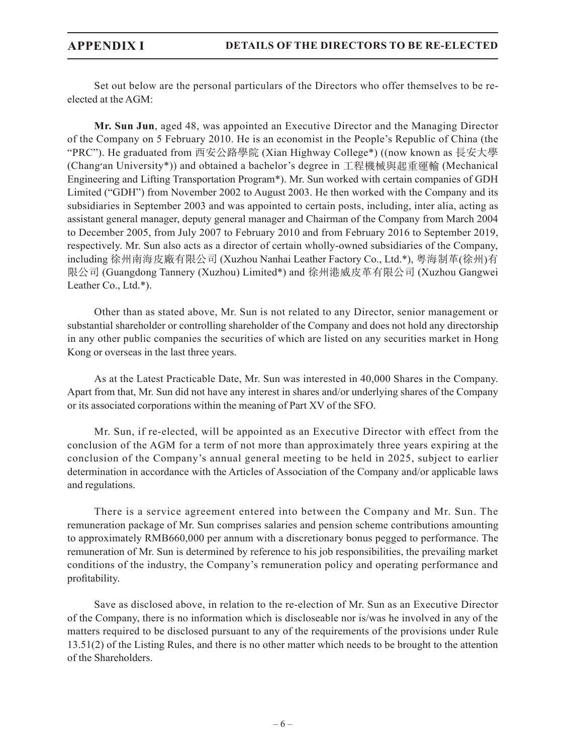Set out below are the personal particulars of the Directors who offer themselves to be reelected at the AGM:

**Mr. Sun Jun**, aged 48, was appointed an Executive Director and the Managing Director of the Company on 5 February 2010. He is an economist in the People's Republic of China (the "PRC"). He graduated from 西安公路學院 (Xian Highway College\*) ((now known as 長安大學 (Chang׳an University\*)) and obtained a bachelor's degree in 工程機械與起重運輸 (Mechanical Engineering and Lifting Transportation Program\*). Mr. Sun worked with certain companies of GDH Limited ("GDH") from November 2002 to August 2003. He then worked with the Company and its subsidiaries in September 2003 and was appointed to certain posts, including, inter alia, acting as assistant general manager, deputy general manager and Chairman of the Company from March 2004 to December 2005, from July 2007 to February 2010 and from February 2016 to September 2019, respectively. Mr. Sun also acts as a director of certain wholly-owned subsidiaries of the Company, including 徐州南海皮廠有限公司 (Xuzhou Nanhai Leather Factory Co., Ltd.\*), 粵海制革(徐州)有 限公司 (Guangdong Tannery (Xuzhou) Limited\*) and 徐州港威皮革有限公司 (Xuzhou Gangwei Leather Co., Ltd.\*).

Other than as stated above, Mr. Sun is not related to any Director, senior management or substantial shareholder or controlling shareholder of the Company and does not hold any directorship in any other public companies the securities of which are listed on any securities market in Hong Kong or overseas in the last three years.

As at the Latest Practicable Date, Mr. Sun was interested in 40,000 Shares in the Company. Apart from that, Mr. Sun did not have any interest in shares and/or underlying shares of the Company or its associated corporations within the meaning of Part XV of the SFO.

Mr. Sun, if re-elected, will be appointed as an Executive Director with effect from the conclusion of the AGM for a term of not more than approximately three years expiring at the conclusion of the Company's annual general meeting to be held in 2025, subject to earlier determination in accordance with the Articles of Association of the Company and/or applicable laws and regulations.

There is a service agreement entered into between the Company and Mr. Sun. The remuneration package of Mr. Sun comprises salaries and pension scheme contributions amounting to approximately RMB660,000 per annum with a discretionary bonus pegged to performance. The remuneration of Mr. Sun is determined by reference to his job responsibilities, the prevailing market conditions of the industry, the Company's remuneration policy and operating performance and profitability.

Save as disclosed above, in relation to the re-election of Mr. Sun as an Executive Director of the Company, there is no information which is discloseable nor is/was he involved in any of the matters required to be disclosed pursuant to any of the requirements of the provisions under Rule 13.51(2) of the Listing Rules, and there is no other matter which needs to be brought to the attention of the Shareholders.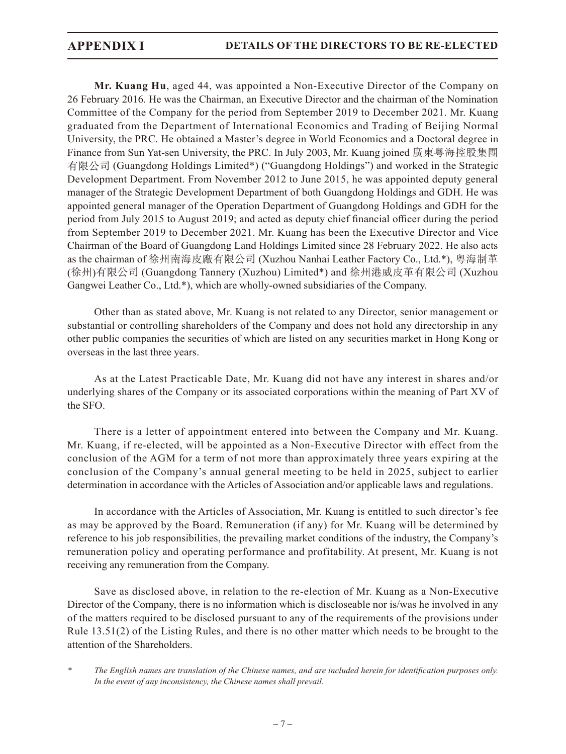**Mr. Kuang Hu**, aged 44, was appointed a Non-Executive Director of the Company on 26 February 2016. He was the Chairman, an Executive Director and the chairman of the Nomination Committee of the Company for the period from September 2019 to December 2021. Mr. Kuang graduated from the Department of International Economics and Trading of Beijing Normal University, the PRC. He obtained a Master's degree in World Economics and a Doctoral degree in Finance from Sun Yat-sen University, the PRC. In July 2003, Mr. Kuang joined 廣東粵海控股集團 有限公司 (Guangdong Holdings Limited\*) ("Guangdong Holdings") and worked in the Strategic Development Department. From November 2012 to June 2015, he was appointed deputy general manager of the Strategic Development Department of both Guangdong Holdings and GDH. He was appointed general manager of the Operation Department of Guangdong Holdings and GDH for the period from July 2015 to August 2019; and acted as deputy chief financial officer during the period from September 2019 to December 2021. Mr. Kuang has been the Executive Director and Vice Chairman of the Board of Guangdong Land Holdings Limited since 28 February 2022. He also acts as the chairman of 徐州南海皮廠有限公司 (Xuzhou Nanhai Leather Factory Co., Ltd.\*), 粵海制革 (徐州)有限公司 (Guangdong Tannery (Xuzhou) Limited\*) and 徐州港威皮革有限公司 (Xuzhou Gangwei Leather Co., Ltd.\*), which are wholly-owned subsidiaries of the Company.

Other than as stated above, Mr. Kuang is not related to any Director, senior management or substantial or controlling shareholders of the Company and does not hold any directorship in any other public companies the securities of which are listed on any securities market in Hong Kong or overseas in the last three years.

As at the Latest Practicable Date, Mr. Kuang did not have any interest in shares and/or underlying shares of the Company or its associated corporations within the meaning of Part XV of the SFO.

There is a letter of appointment entered into between the Company and Mr. Kuang. Mr. Kuang, if re-elected, will be appointed as a Non-Executive Director with effect from the conclusion of the AGM for a term of not more than approximately three years expiring at the conclusion of the Company's annual general meeting to be held in 2025, subject to earlier determination in accordance with the Articles of Association and/or applicable laws and regulations.

In accordance with the Articles of Association, Mr. Kuang is entitled to such director's fee as may be approved by the Board. Remuneration (if any) for Mr. Kuang will be determined by reference to his job responsibilities, the prevailing market conditions of the industry, the Company's remuneration policy and operating performance and profitability. At present, Mr. Kuang is not receiving any remuneration from the Company.

Save as disclosed above, in relation to the re-election of Mr. Kuang as a Non-Executive Director of the Company, there is no information which is discloseable nor is/was he involved in any of the matters required to be disclosed pursuant to any of the requirements of the provisions under Rule 13.51(2) of the Listing Rules, and there is no other matter which needs to be brought to the attention of the Shareholders.

*\* The English names are translation of the Chinese names, and are included herein for identification purposes only. In the event of any inconsistency, the Chinese names shall prevail.*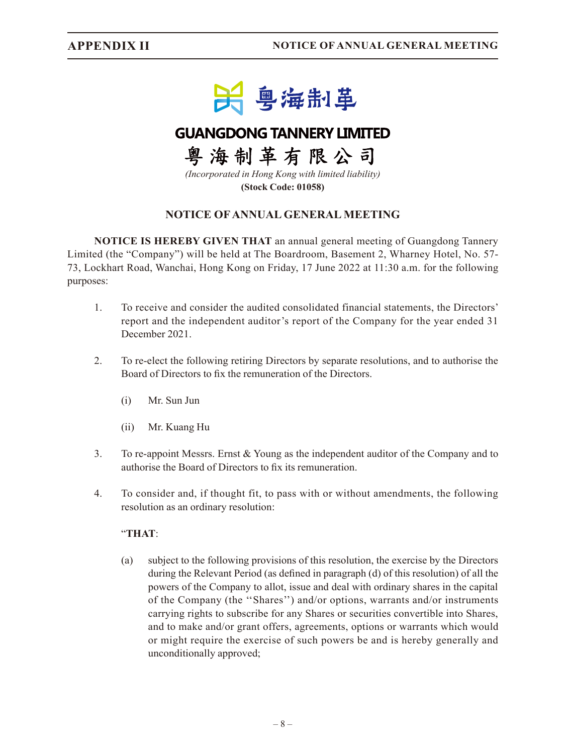

# **GUANGDONG TANNERY LIMITED**

粤海制革有限公司

*(Incorporated in Hong Kong with limited liability)* **(Stock Code: 01058)**

## **NOTICE OF ANNUAL GENERAL MEETING**

**NOTICE IS HEREBY GIVEN THAT** an annual general meeting of Guangdong Tannery Limited (the "Company") will be held at The Boardroom, Basement 2, Wharney Hotel, No. 57- 73, Lockhart Road, Wanchai, Hong Kong on Friday, 17 June 2022 at 11:30 a.m. for the following purposes:

- 1. To receive and consider the audited consolidated financial statements, the Directors' report and the independent auditor's report of the Company for the year ended 31 December 2021.
- 2. To re-elect the following retiring Directors by separate resolutions, and to authorise the Board of Directors to fix the remuneration of the Directors.
	- (i) Mr. Sun Jun
	- (ii) Mr. Kuang Hu
- 3. To re-appoint Messrs. Ernst & Young as the independent auditor of the Company and to authorise the Board of Directors to fix its remuneration.
- 4. To consider and, if thought fit, to pass with or without amendments, the following resolution as an ordinary resolution:

#### "**THAT**:

(a) subject to the following provisions of this resolution, the exercise by the Directors during the Relevant Period (as defined in paragraph (d) of this resolution) of all the powers of the Company to allot, issue and deal with ordinary shares in the capital of the Company (the ''Shares'') and/or options, warrants and/or instruments carrying rights to subscribe for any Shares or securities convertible into Shares, and to make and/or grant offers, agreements, options or warrants which would or might require the exercise of such powers be and is hereby generally and unconditionally approved;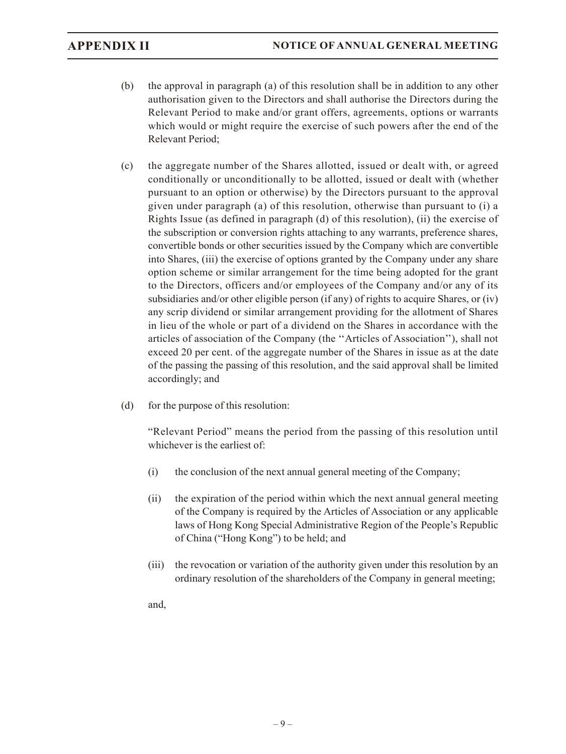- (b) the approval in paragraph (a) of this resolution shall be in addition to any other authorisation given to the Directors and shall authorise the Directors during the Relevant Period to make and/or grant offers, agreements, options or warrants which would or might require the exercise of such powers after the end of the Relevant Period;
- (c) the aggregate number of the Shares allotted, issued or dealt with, or agreed conditionally or unconditionally to be allotted, issued or dealt with (whether pursuant to an option or otherwise) by the Directors pursuant to the approval given under paragraph (a) of this resolution, otherwise than pursuant to (i) a Rights Issue (as defined in paragraph (d) of this resolution), (ii) the exercise of the subscription or conversion rights attaching to any warrants, preference shares, convertible bonds or other securities issued by the Company which are convertible into Shares, (iii) the exercise of options granted by the Company under any share option scheme or similar arrangement for the time being adopted for the grant to the Directors, officers and/or employees of the Company and/or any of its subsidiaries and/or other eligible person (if any) of rights to acquire Shares, or (iv) any scrip dividend or similar arrangement providing for the allotment of Shares in lieu of the whole or part of a dividend on the Shares in accordance with the articles of association of the Company (the ''Articles of Association''), shall not exceed 20 per cent. of the aggregate number of the Shares in issue as at the date of the passing the passing of this resolution, and the said approval shall be limited accordingly; and
- (d) for the purpose of this resolution:

"Relevant Period" means the period from the passing of this resolution until whichever is the earliest of:

- (i) the conclusion of the next annual general meeting of the Company;
- (ii) the expiration of the period within which the next annual general meeting of the Company is required by the Articles of Association or any applicable laws of Hong Kong Special Administrative Region of the People's Republic of China ("Hong Kong") to be held; and
- (iii) the revocation or variation of the authority given under this resolution by an ordinary resolution of the shareholders of the Company in general meeting;

and,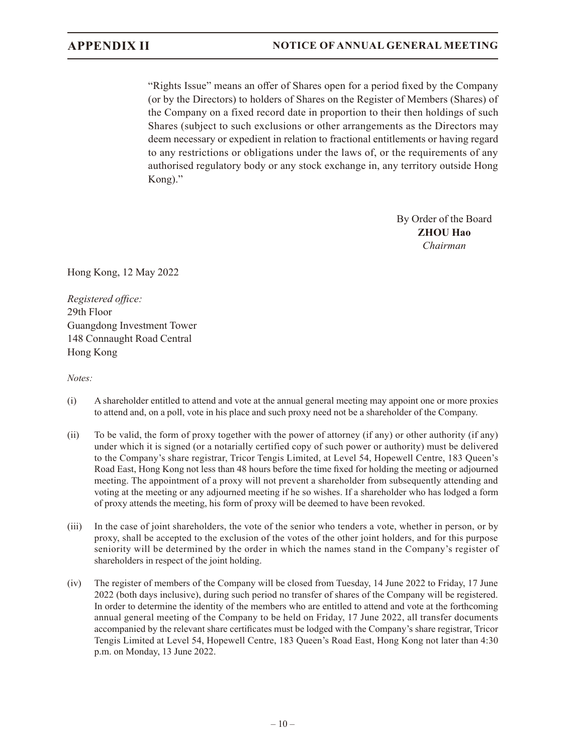"Rights Issue" means an offer of Shares open for a period fixed by the Company (or by the Directors) to holders of Shares on the Register of Members (Shares) of the Company on a fixed record date in proportion to their then holdings of such Shares (subject to such exclusions or other arrangements as the Directors may deem necessary or expedient in relation to fractional entitlements or having regard to any restrictions or obligations under the laws of, or the requirements of any authorised regulatory body or any stock exchange in, any territory outside Hong Kong)."

> By Order of the Board **ZHOU Hao** *Chairman*

Hong Kong, 12 May 2022

*Registered office:* 29th Floor Guangdong Investment Tower 148 Connaught Road Central Hong Kong

*Notes:*

- (i) A shareholder entitled to attend and vote at the annual general meeting may appoint one or more proxies to attend and, on a poll, vote in his place and such proxy need not be a shareholder of the Company.
- (ii) To be valid, the form of proxy together with the power of attorney (if any) or other authority (if any) under which it is signed (or a notarially certified copy of such power or authority) must be delivered to the Company's share registrar, Tricor Tengis Limited, at Level 54, Hopewell Centre, 183 Queen's Road East, Hong Kong not less than 48 hours before the time fixed for holding the meeting or adjourned meeting. The appointment of a proxy will not prevent a shareholder from subsequently attending and voting at the meeting or any adjourned meeting if he so wishes. If a shareholder who has lodged a form of proxy attends the meeting, his form of proxy will be deemed to have been revoked.
- (iii) In the case of joint shareholders, the vote of the senior who tenders a vote, whether in person, or by proxy, shall be accepted to the exclusion of the votes of the other joint holders, and for this purpose seniority will be determined by the order in which the names stand in the Company's register of shareholders in respect of the joint holding.
- (iv) The register of members of the Company will be closed from Tuesday, 14 June 2022 to Friday, 17 June 2022 (both days inclusive), during such period no transfer of shares of the Company will be registered. In order to determine the identity of the members who are entitled to attend and vote at the forthcoming annual general meeting of the Company to be held on Friday, 17 June 2022, all transfer documents accompanied by the relevant share certificates must be lodged with the Company's share registrar, Tricor Tengis Limited at Level 54, Hopewell Centre, 183 Queen's Road East, Hong Kong not later than 4:30 p.m. on Monday, 13 June 2022.